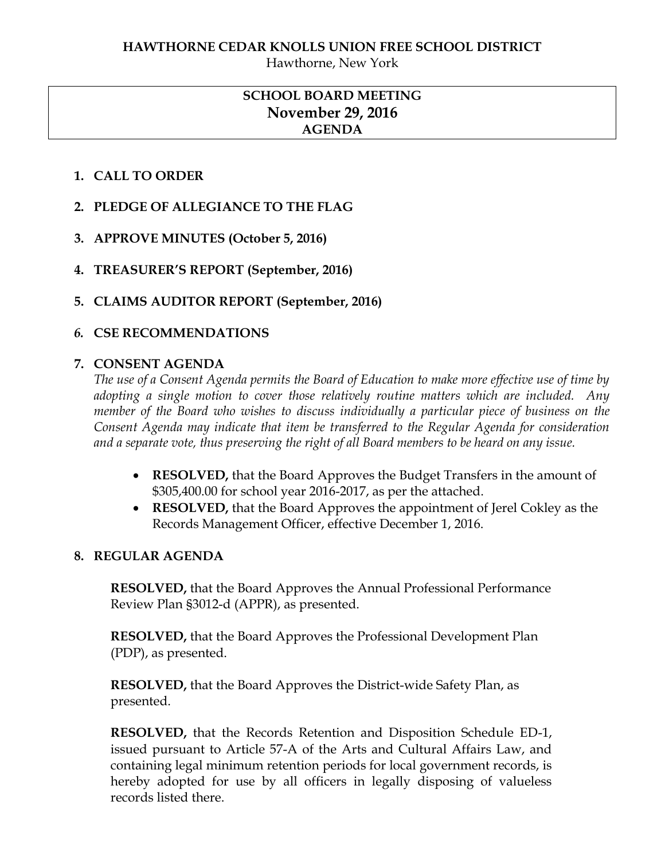Hawthorne, New York

# **SCHOOL BOARD MEETING November 29, 2016 AGENDA**

## **1. CALL TO ORDER**

- **2. PLEDGE OF ALLEGIANCE TO THE FLAG**
- **3. APPROVE MINUTES (October 5, 2016)**
- **4. TREASURER'S REPORT (September, 2016)**
- **5. CLAIMS AUDITOR REPORT (September, 2016)**

### *6.* **CSE RECOMMENDATIONS**

### **7. CONSENT AGENDA**

*The use of a Consent Agenda permits the Board of Education to make more effective use of time by adopting a single motion to cover those relatively routine matters which are included. Any member of the Board who wishes to discuss individually a particular piece of business on the Consent Agenda may indicate that item be transferred to the Regular Agenda for consideration and a separate vote, thus preserving the right of all Board members to be heard on any issue.* 

- **RESOLVED,** that the Board Approves the Budget Transfers in the amount of \$305,400.00 for school year 2016-2017, as per the attached.
- **RESOLVED,** that the Board Approves the appointment of Jerel Cokley as the Records Management Officer, effective December 1, 2016.

### **8. REGULAR AGENDA**

**RESOLVED,** that the Board Approves the Annual Professional Performance Review Plan §3012-d (APPR), as presented.

**RESOLVED,** that the Board Approves the Professional Development Plan (PDP), as presented.

**RESOLVED,** that the Board Approves the District-wide Safety Plan, as presented.

**RESOLVED,** that the Records Retention and Disposition Schedule ED-1, issued pursuant to Article 57-A of the Arts and Cultural Affairs Law, and containing legal minimum retention periods for local government records, is hereby adopted for use by all officers in legally disposing of valueless records listed there.